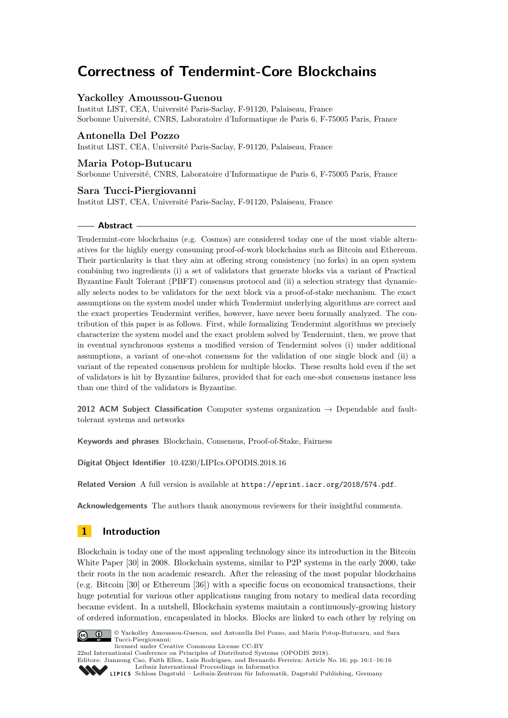# **Correctness of Tendermint-Core Blockchains**

# **Yackolley Amoussou-Guenou**

Institut LIST, CEA, Université Paris-Saclay, F-91120, Palaiseau, France Sorbonne Université, CNRS, Laboratoire d'Informatique de Paris 6, F-75005 Paris, France

# **Antonella Del Pozzo**

Institut LIST, CEA, Université Paris-Saclay, F-91120, Palaiseau, France

## **Maria Potop-Butucaru**

Sorbonne Université, CNRS, Laboratoire d'Informatique de Paris 6, F-75005 Paris, France

## **Sara Tucci-Piergiovanni**

Institut LIST, CEA, Université Paris-Saclay, F-91120, Palaiseau, France

#### **Abstract**

Tendermint-core blockchains (e.g. Cosmos) are considered today one of the most viable alternatives for the highly energy consuming proof-of-work blockchains such as Bitcoin and Ethereum. Their particularity is that they aim at offering strong consistency (no forks) in an open system combining two ingredients (i) a set of validators that generate blocks via a variant of Practical Byzantine Fault Tolerant (PBFT) consensus protocol and (ii) a selection strategy that dynamically selects nodes to be validators for the next block via a proof-of-stake mechanism. The exact assumptions on the system model under which Tendermint underlying algorithms are correct and the exact properties Tendermint verifies, however, have never been formally analyzed. The contribution of this paper is as follows. First, while formalizing Tendermint algorithms we precisely characterize the system model and the exact problem solved by Tendermint, then, we prove that in eventual synchronous systems a modified version of Tendermint solves (i) under additional assumptions, a variant of one-shot consensus for the validation of one single block and (ii) a variant of the repeated consensus problem for multiple blocks. These results hold even if the set of validators is hit by Byzantine failures, provided that for each one-shot consensus instance less than one third of the validators is Byzantine.

**2012 ACM Subject Classification** Computer systems organization  $\rightarrow$  Dependable and faulttolerant systems and networks

**Keywords and phrases** Blockchain, Consensus, Proof-of-Stake, Fairness

**Digital Object Identifier** [10.4230/LIPIcs.OPODIS.2018.16](https://doi.org/10.4230/LIPIcs.OPODIS.2018.16)

**Related Version** A full version is available at <https://eprint.iacr.org/2018/574.pdf>.

**Acknowledgements** The authors thank anonymous reviewers for their insightful comments.

# **1 Introduction**

Blockchain is today one of the most appealing technology since its introduction in the Bitcoin White Paper [\[30\]](#page-15-0) in 2008. Blockchain systems, similar to P2P systems in the early 2000, take their roots in the non academic research. After the releasing of the most popular blockchains (e.g. Bitcoin [\[30\]](#page-15-0) or Ethereum [\[36\]](#page-15-1)) with a specific focus on economical transactions, their huge potential for various other applications ranging from notary to medical data recording became evident. In a nutshell, Blockchain systems maintain a continuously-growing history of ordered information, encapsulated in blocks. Blocks are linked to each other by relying on



© Yackolley Amoussou-Guenou, and Antonella Del Pozzo, and Maria Potop-Butucaru, and Sara Tucci-Piergiovanni;

licensed under Creative Commons License CC-BY

22nd International Conference on Principles of Distributed Systems (OPODIS 2018). Editors: Jiannong Cao, Faith Ellen, Luis Rodrigues, and Bernardo Ferreira; Article No. 16; pp. 16:1–16[:16](#page-15-2)

[Leibniz International Proceedings in Informatics](http://www.dagstuhl.de/lipics/)

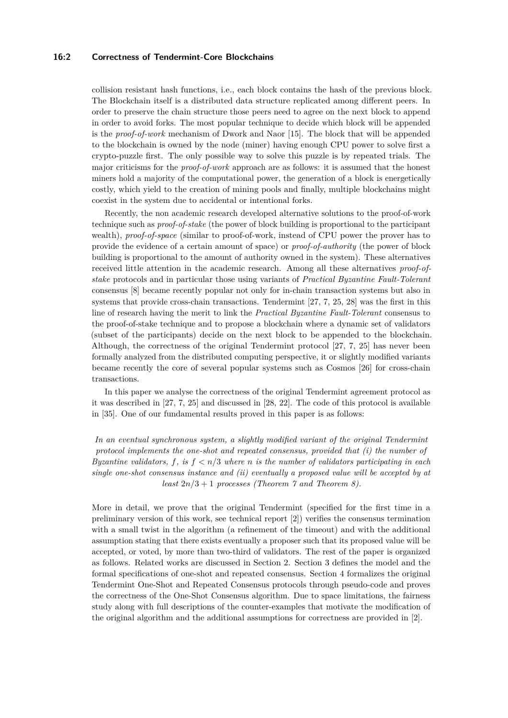## **16:2 Correctness of Tendermint-Core Blockchains**

collision resistant hash functions, i.e., each block contains the hash of the previous block. The Blockchain itself is a distributed data structure replicated among different peers. In order to preserve the chain structure those peers need to agree on the next block to append in order to avoid forks. The most popular technique to decide which block will be appended is the *proof-of-work* mechanism of Dwork and Naor [\[15\]](#page-14-0). The block that will be appended to the blockchain is owned by the node (miner) having enough CPU power to solve first a crypto-puzzle first. The only possible way to solve this puzzle is by repeated trials. The major criticisms for the *proof-of-work* approach are as follows: it is assumed that the honest miners hold a majority of the computational power, the generation of a block is energetically costly, which yield to the creation of mining pools and finally, multiple blockchains might coexist in the system due to accidental or intentional forks.

Recently, the non academic research developed alternative solutions to the proof-of-work technique such as *proof-of-stake* (the power of block building is proportional to the participant wealth), *proof-of-space* (similar to proof-of-work, instead of CPU power the prover has to provide the evidence of a certain amount of space) or *proof-of-authority* (the power of block building is proportional to the amount of authority owned in the system). These alternatives received little attention in the academic research. Among all these alternatives *proof-ofstake* protocols and in particular those using variants of *Practical Byzantine Fault-Tolerant* consensus [\[8\]](#page-14-1) became recently popular not only for in-chain transaction systems but also in systems that provide cross-chain transactions. Tendermint [\[27,](#page-15-3) [7,](#page-14-2) [25,](#page-15-4) [28\]](#page-15-5) was the first in this line of research having the merit to link the *Practical Byzantine Fault-Tolerant* consensus to the proof-of-stake technique and to propose a blockchain where a dynamic set of validators (subset of the participants) decide on the next block to be appended to the blockchain. Although, the correctness of the original Tendermint protocol [\[27,](#page-15-3) [7,](#page-14-2) [25\]](#page-15-4) has never been formally analyzed from the distributed computing perspective, it or slightly modified variants became recently the core of several popular systems such as Cosmos [\[26\]](#page-15-6) for cross-chain transactions.

In this paper we analyse the correctness of the original Tendermint agreement protocol as it was described in [\[27,](#page-15-3) [7,](#page-14-2) [25\]](#page-15-4) and discussed in [\[28,](#page-15-5) [22\]](#page-15-7). The code of this protocol is available in [\[35\]](#page-15-8). One of our fundamental results proved in this paper is as follows:

*In an eventual synchronous system, a slightly modified variant of the original Tendermint protocol implements the one-shot and repeated consensus, provided that (i) the number of Byzantine validators, f, is f < n/*3 *where n is the number of validators participating in each single one-shot consensus instance and (ii) eventually a proposed value will be accepted by at least*  $2n/3 + 1$  *processes (Theorem*  $\gamma$  *and Theorem [8\)](#page-13-0).* 

More in detail, we prove that the original Tendermint (specified for the first time in a preliminary version of this work, see technical report [\[2\]](#page-14-3)) verifies the consensus termination with a small twist in the algorithm (a refinement of the timeout) and with the additional assumption stating that there exists eventually a proposer such that its proposed value will be accepted, or voted, by more than two-third of validators. The rest of the paper is organized as follows. Related works are discussed in Section [2.](#page-2-0) Section [3](#page-2-1) defines the model and the formal specifications of one-shot and repeated consensus. Section [4](#page-4-0) formalizes the original Tendermint One-Shot and Repeated Consensus protocols through pseudo-code and proves the correctness of the One-Shot Consensus algorithm. Due to space limitations, the fairness study along with full descriptions of the counter-examples that motivate the modification of the original algorithm and the additional assumptions for correctness are provided in [\[2\]](#page-14-3).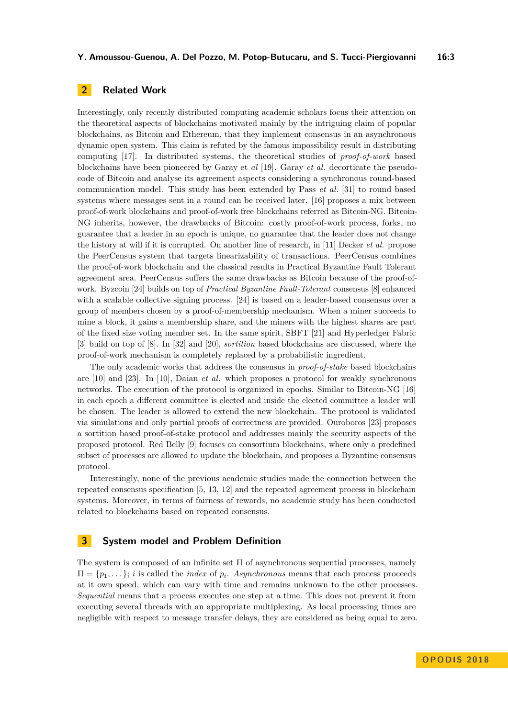# <span id="page-2-0"></span>**2 Related Work**

Interestingly, only recently distributed computing academic scholars focus their attention on the theoretical aspects of blockchains motivated mainly by the intriguing claim of popular blockchains, as Bitcoin and Ethereum, that they implement consensus in an asynchronous dynamic open system. This claim is refuted by the famous impossibility result in distributing computing [\[17\]](#page-14-4). In distributed systems, the theoretical studies of *proof-of-work* based blockchains have been pioneered by Garay et *al* [\[19\]](#page-15-9). Garay *et al.* decorticate the pseudocode of Bitcoin and analyse its agreement aspects considering a synchronous round-based communication model. This study has been extended by Pass *et al.* [\[31\]](#page-15-10) to round based systems where messages sent in a round can be received later. [\[16\]](#page-14-5) proposes a mix between proof-of-work blockchains and proof-of-work free blockchains referred as Bitcoin-NG. Bitcoin-NG inherits, however, the drawbacks of Bitcoin: costly proof-of-work process, forks, no guarantee that a leader in an epoch is unique, no guarantee that the leader does not change the history at will if it is corrupted. On another line of research, in [\[11\]](#page-14-6) Decker *et al.* propose the PeerCensus system that targets linearizability of transactions. PeerCensus combines the proof-of-work blockchain and the classical results in Practical Byzantine Fault Tolerant agreement area. PeerCensus suffers the same drawbacks as Bitcoin because of the proof-ofwork. Byzcoin [\[24\]](#page-15-11) builds on top of *Practical Byzantine Fault-Tolerant* consensus [\[8\]](#page-14-1) enhanced with a scalable collective signing process. [\[24\]](#page-15-11) is based on a leader-based consensus over a group of members chosen by a proof-of-membership mechanism. When a miner succeeds to mine a block, it gains a membership share, and the miners with the highest shares are part of the fixed size voting member set. In the same spirit, SBFT [\[21\]](#page-15-12) and Hyperledger Fabric [\[3\]](#page-14-7) build on top of [\[8\]](#page-14-1). In [\[32\]](#page-15-13) and [\[20\]](#page-15-14), *sortition* based blockchains are discussed, where the proof-of-work mechanism is completely replaced by a probabilistic ingredient.

The only academic works that address the consensus in *proof-of-stake* based blockchains are [\[10\]](#page-14-8) and [\[23\]](#page-15-15). In [\[10\]](#page-14-8), Daian *et al.* which proposes a protocol for weakly synchronous networks. The execution of the protocol is organized in epochs. Similar to Bitcoin-NG [\[16\]](#page-14-5) in each epoch a different committee is elected and inside the elected committee a leader will be chosen. The leader is allowed to extend the new blockchain. The protocol is validated via simulations and only partial proofs of correctness are provided. Ouroboros [\[23\]](#page-15-15) proposes a sortition based proof-of-stake protocol and addresses mainly the security aspects of the proposed protocol. Red Belly [\[9\]](#page-14-9) focuses on consortium blockchains, where only a predefined subset of processes are allowed to update the blockchain, and proposes a Byzantine consensus protocol.

Interestingly, none of the previous academic studies made the connection between the repeated consensus specification [\[5,](#page-14-10) [13,](#page-14-11) [12\]](#page-14-12) and the repeated agreement process in blockchain systems. Moreover, in terms of fairness of rewards, no academic study has been conducted related to blockchains based on repeated consensus.

# <span id="page-2-1"></span>**3 System model and Problem Definition**

The system is composed of an infinite set Π of asynchronous sequential processes, namely  $\Pi = \{p_1, \ldots\}; i$  is called the *index* of  $p_i$ . *Asynchronous* means that each process proceeds at it own speed, which can vary with time and remains unknown to the other processes. *Sequential* means that a process executes one step at a time. This does not prevent it from executing several threads with an appropriate multiplexing. As local processing times are negligible with respect to message transfer delays, they are considered as being equal to zero.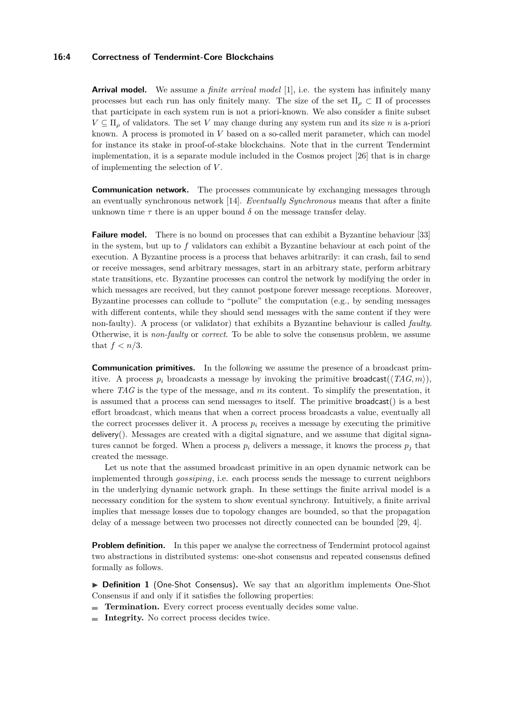#### **16:4 Correctness of Tendermint-Core Blockchains**

**Arrival model.** We assume a *finite arrival model* [\[1\]](#page-14-13), i.e. the system has infinitely many processes but each run has only finitely many. The size of the set  $\Pi_{\rho} \subset \Pi$  of processes that participate in each system run is not a priori-known. We also consider a finite subset  $V \subseteq \Pi$ <sub>*ρ*</sub> of validators. The set *V* may change during any system run and its size *n* is a-priori known. A process is promoted in *V* based on a so-called merit parameter, which can model for instance its stake in proof-of-stake blockchains. Note that in the current Tendermint implementation, it is a separate module included in the Cosmos project [\[26\]](#page-15-6) that is in charge of implementing the selection of *V* .

**Communication network.** The processes communicate by exchanging messages through an eventually synchronous network [\[14\]](#page-14-14). *Eventually Synchronous* means that after a finite unknown time  $\tau$  there is an upper bound  $\delta$  on the message transfer delay.

**Failure model.** There is no bound on processes that can exhibit a Byzantine behaviour [\[33\]](#page-15-16) in the system, but up to *f* validators can exhibit a Byzantine behaviour at each point of the execution. A Byzantine process is a process that behaves arbitrarily: it can crash, fail to send or receive messages, send arbitrary messages, start in an arbitrary state, perform arbitrary state transitions, etc. Byzantine processes can control the network by modifying the order in which messages are received, but they cannot postpone forever message receptions. Moreover, Byzantine processes can collude to "pollute" the computation (e.g., by sending messages with different contents, while they should send messages with the same content if they were non-faulty). A process (or validator) that exhibits a Byzantine behaviour is called *faulty*. Otherwise, it is *non-faulty* or *correct*. To be able to solve the consensus problem, we assume that  $f < n/3$ .

**Communication primitives.** In the following we assume the presence of a broadcast primitive. A process  $p_i$  broadcasts a message by invoking the primitive broadcast( $\langle TAG, m \rangle$ ), where *TAG* is the type of the message, and *m* its content. To simplify the presentation, it is assumed that a process can send messages to itself. The primitive broadcast() is a best effort broadcast, which means that when a correct process broadcasts a value, eventually all the correct processes deliver it. A process  $p_i$  receives a message by executing the primitive delivery(). Messages are created with a digital signature, and we assume that digital signatures cannot be forged. When a process  $p_i$  delivers a message, it knows the process  $p_j$  that created the message.

Let us note that the assumed broadcast primitive in an open dynamic network can be implemented through *gossiping*, i.e. each process sends the message to current neighbors in the underlying dynamic network graph. In these settings the finite arrival model is a necessary condition for the system to show eventual synchrony. Intuitively, a finite arrival implies that message losses due to topology changes are bounded, so that the propagation delay of a message between two processes not directly connected can be bounded [\[29,](#page-15-17) [4\]](#page-14-15).

**Problem definition.** In this paper we analyse the correctness of Tendermint protocol against two abstractions in distributed systems: one-shot consensus and repeated consensus defined formally as follows.

▶ **Definition 1** (One-Shot Consensus). We say that an algorithm implements One-Shot Consensus if and only if it satisfies the following properties:

- **Termination.** Every correct process eventually decides some value.
- **Integrity.** No correct process decides twice.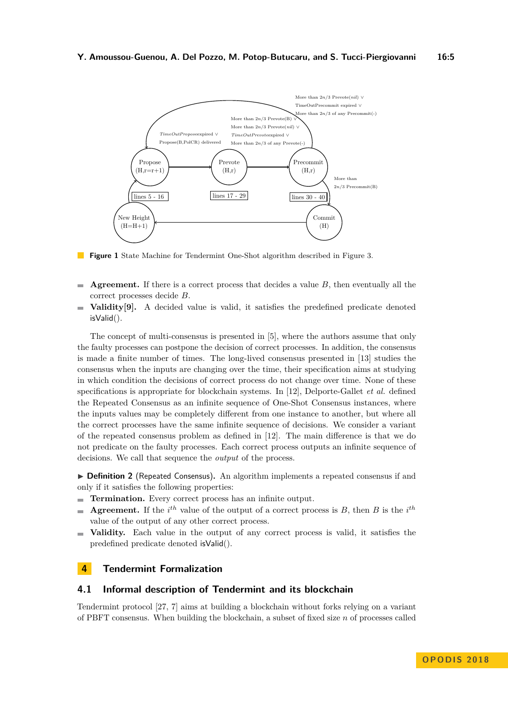<span id="page-4-1"></span>

**Figure 1** State Machine for Tendermint One-Shot algorithm described in Figure [3.](#page-7-0)

- **Agreement.** If there is a correct process that decides a value *B*, then eventually all the  $\rightarrow$ correct processes decide *B*.
- **Validity[\[9\]](#page-14-9).** A decided value is valid, it satisfies the predefined predicate denoted  $\equiv$ isValid().

The concept of multi-consensus is presented in [\[5\]](#page-14-10), where the authors assume that only the faulty processes can postpone the decision of correct processes. In addition, the consensus is made a finite number of times. The long-lived consensus presented in [\[13\]](#page-14-11) studies the consensus when the inputs are changing over the time, their specification aims at studying in which condition the decisions of correct process do not change over time. None of these specifications is appropriate for blockchain systems. In [\[12\]](#page-14-12), Delporte-Gallet *et al.* defined the Repeated Consensus as an infinite sequence of One-Shot Consensus instances, where the inputs values may be completely different from one instance to another, but where all the correct processes have the same infinite sequence of decisions. We consider a variant of the repeated consensus problem as defined in [\[12\]](#page-14-12). The main difference is that we do not predicate on the faulty processes. Each correct process outputs an infinite sequence of decisions. We call that sequence the *output* of the process.

▶ **Definition 2** (Repeated Consensus). An algorithm implements a repeated consensus if and only if it satisfies the following properties:

- **Termination.** Every correct process has an infinite output.  $\blacksquare$
- **Agreement.** If the  $i^{th}$  value of the output of a correct process is *B*, then *B* is the  $i^{th}$ value of the output of any other correct process.
- **Validity.** Each value in the output of any correct process is valid, it satisfies the predefined predicate denoted isValid().

# <span id="page-4-0"></span>**4 Tendermint Formalization**

## **4.1 Informal description of Tendermint and its blockchain**

Tendermint protocol [\[27,](#page-15-3) [7\]](#page-14-2) aims at building a blockchain without forks relying on a variant of PBFT consensus. When building the blockchain, a subset of fixed size *n* of processes called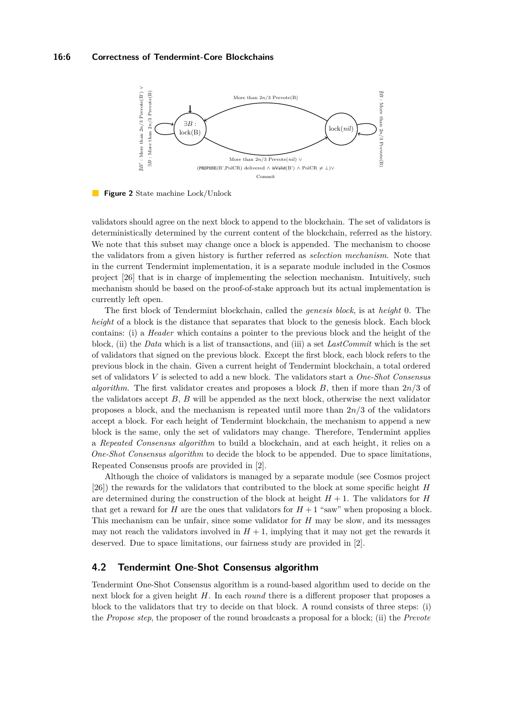#### **16:6 Correctness of Tendermint-Core Blockchains**

<span id="page-5-0"></span>

**Figure 2** State machine Lock/Unlock

validators should agree on the next block to append to the blockchain. The set of validators is deterministically determined by the current content of the blockchain, referred as the history. We note that this subset may change once a block is appended. The mechanism to choose the validators from a given history is further referred as *selection mechanism*. Note that in the current Tendermint implementation, it is a separate module included in the Cosmos project [\[26\]](#page-15-6) that is in charge of implementing the selection mechanism. Intuitively, such mechanism should be based on the proof-of-stake approach but its actual implementation is currently left open.

The first block of Tendermint blockchain, called the *genesis block*, is at *height* 0. The *height* of a block is the distance that separates that block to the genesis block. Each block contains: (i) a *Header* which contains a pointer to the previous block and the height of the block, (ii) the *Data* which is a list of transactions, and (iii) a set *LastCommit* which is the set of validators that signed on the previous block. Except the first block, each block refers to the previous block in the chain. Given a current height of Tendermint blockchain, a total ordered set of validators *V* is selected to add a new block. The validators start a *One-Shot Consensus algorithm*. The first validator creates and proposes a block *B*, then if more than 2*n/*3 of the validators accept *B*, *B* will be appended as the next block, otherwise the next validator proposes a block, and the mechanism is repeated until more than 2*n/*3 of the validators accept a block. For each height of Tendermint blockchain, the mechanism to append a new block is the same, only the set of validators may change. Therefore, Tendermint applies a *Repeated Consensus algorithm* to build a blockchain, and at each height, it relies on a *One-Shot Consensus algorithm* to decide the block to be appended. Due to space limitations, Repeated Consensus proofs are provided in [\[2\]](#page-14-3).

Although the choice of validators is managed by a separate module (see Cosmos project [\[26\]](#page-15-6)) the rewards for the validators that contributed to the block at some specific height *H* are determined during the construction of the block at height  $H + 1$ . The validators for *H* that get a reward for *H* are the ones that validators for  $H + 1$  "saw" when proposing a block. This mechanism can be unfair, since some validator for *H* may be slow, and its messages may not reach the validators involved in  $H + 1$ , implying that it may not get the rewards it deserved. Due to space limitations, our fairness study are provided in [\[2\]](#page-14-3).

## <span id="page-5-1"></span>**4.2 Tendermint One-Shot Consensus algorithm**

Tendermint One-Shot Consensus algorithm is a round-based algorithm used to decide on the next block for a given height *H*. In each *round* there is a different proposer that proposes a block to the validators that try to decide on that block. A round consists of three steps: (i) the *Propose step*, the proposer of the round broadcasts a proposal for a block; (ii) the *Prevote*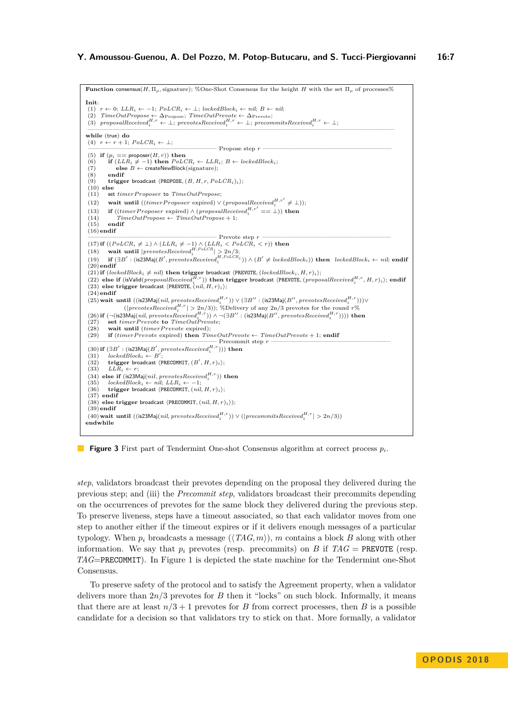```
Function consensus(H, \Pi_{\rho}, signature); %One-Shot Consensus for the height H with the set \Pi_{\rho} of processes%
Init:
 (1) r ← 0; LLRi ← −1; PoLCRi ← ⊥; lockedBlocki ← nil; B ← nil;
 (2) TimeOutPropose \leftarrow \Delta_{\text{Propose}}; TimeOutPrevote \leftarrow \Delta_{\text{Prevote}}<br>
(3) proposableceved_i^{H,r} \leftarrow \bot; preеcived_i^{H,r} \leftarrow \bot; precommitsReceived_i^{H,r} \leftarrow \bot;
 ———————————————————————————————————————————————–
while (true) do
 (4) r \leftarrow r + 1; PoLCR_i \leftarrow \perp;
                                                                  ———————————————————— Propose step r ————————————————————
 (5) if (p_i == proposer(H, r) then<br>(6) if (LLR_i \neq -1) then PoL(6) if (LLR_i \neq -1) then PoLCR_i \leftarrow LLR_i; B \leftarrow lockedBlock_i; (7) else B \leftarrow \text{createNewBlock}(\text{signature});
 \begin{array}{c}\n(8) \\
(9) \\
\end{array} endif
           \mathbf{trigger} broadcast \langle \mathsf{PROPOSE}, (B, H, r, PoLCR_i)_i \rangle;(10) else
 (11) set timerP roposer to TimeOutPropose;
 (12) wait until ((\text{timerProposer\;expr}) \lor (\text{proposalReceived}_i^{H,r'} \neq \bot));(13) if ((\text{timerProposer}\; \text{expired}) \land (\text{proposalReceived}_i^{H,r'} == \bot)) then
 (14) TimeOutPropose \leftarrow TimeOutPropose + 1;<br>(15) endif
           (15) endif
 (16)endif
 Prevote step r \longrightarrow Prevote step r \longrightarrow (LLR_i \neq -1) \wedge (LLR_i < PolCR_i < r)) then<br>
(18) wait until |prevotesReceive d_i^{H, PolCR}| \geq 2n/3;(19) if (\exists B' : (is 23 Maj(B', prevotesReceived_i^{H, PolCR_i})) \wedge (B' \neq lockedBlock_i)) then lockedBlock_i \leftarrow nil; endif
 (20)endif
 (21) if (lockedBlock_i \neq nil) then trigger broadcast \langle PREVOTE, (lockedBlock_i, H, r)_i \rangle;(22) else if (isValid(\text{proposalReceive}^{H,r}_{i})) then trigger broadcast (PREVOTE, (\text{proposalReceive}^{H,r}_{i}, H, r)<sub>i</sub>); endif
 (23) else trigger broadcast \langlePREVOTE, (nil, H, r)_i;
 (24)endif
 (25) wait until ((is 23Maj(nil, pre votesReceived<sup>H,r</sup>)) ∨ (\exists B'': (is 23Maj(B'', pre votesReceived<sup>H,r</sup>)))∨
 (26) Water different ((is considered) (i.e., p (considered) p (is considered) (i.e., p (is considered) (i.e., p (i.e.) (i.e., p)) (i.e.) (i.e., p)) (i.e., p)) (i.e., p)) (i.e., p)) (i.e., p)) (i.e., p(27) set timerP revote to TimeOutPrevote;
 (28) wait until (timerPrevote expired);<br>(29) if (timerPrevote expired) then Tin
           if (timer Prevote expired) then TimeOutPrevote \leftarrow TimeOutPrevote + 1; endif - Precommit step r -———————————————————— Precommit step r ——————————————————–
(30) if (∃B0
: (is23Maj(B0
, prevotesReceivedH,r
i
))) then
 (31) lockedBlock_i \leftarrow B'<br>(32) trigger broadcast (
 (31) lockedBlock_i \leftarrow B';<br>(32) trigger broadcast \langle PRECOMMIT, (B', H, r)_i \rangle;(32) trigger bro<br>(33) LLR_i \leftarrow r;(34) else if (is23Maj(nil, prevotesReceived<sup>H,r</sup>)) then
 (35) lockedBlock_i \leftarrow nil; LLR_i \leftarrow -1;<br>
(36) trigger broadcast \langle PRECOMMIT, (nil, H, r)_i \rangle;(37) endif
 (38) else trigger broadcast \langle PRECOMMIT, (nil, H, r)_i);
 (39)endif
 (40) wait until ((is 23Maj(nil, \textit{preotesReceived}_i^{H,r})) \lor (|\textit{precommitsReceived}_i^{H,r}| > 2n/3))endwhile
```
<span id="page-6-19"></span><span id="page-6-18"></span><span id="page-6-16"></span><span id="page-6-13"></span><span id="page-6-10"></span><span id="page-6-9"></span><span id="page-6-8"></span><span id="page-6-7"></span><span id="page-6-5"></span><span id="page-6-4"></span><span id="page-6-3"></span>**Figure 3** First part of Tendermint One-shot Consensus algorithm at correct process *pi*.

*step*, validators broadcast their prevotes depending on the proposal they delivered during the previous step; and (iii) the *Precommit step*, validators broadcast their precommits depending on the occurrences of prevotes for the same block they delivered during the previous step. To preserve liveness, steps have a timeout associated, so that each validator moves from one step to another either if the timeout expires or if it delivers enough messages of a particular typology. When  $p_i$  broadcasts a message  $(\langle TAG, m \rangle)$ , *m* contains a block *B* along with other information. We say that  $p_i$  prevotes (resp. precommits) on *B* if  $TAG = PREVOTE$  (resp. *TAG*=PRECOMMIT). In Figure [1](#page-4-1) is depicted the state machine for the Tendermint one-Shot Consensus.

To preserve safety of the protocol and to satisfy the Agreement property, when a validator delivers more than 2*n/*3 prevotes for *B* then it "locks" on such block. Informally, it means that there are at least  $n/3 + 1$  prevotes for *B* from correct processes, then *B* is a possible candidate for a decision so that validators try to stick on that. More formally, a validator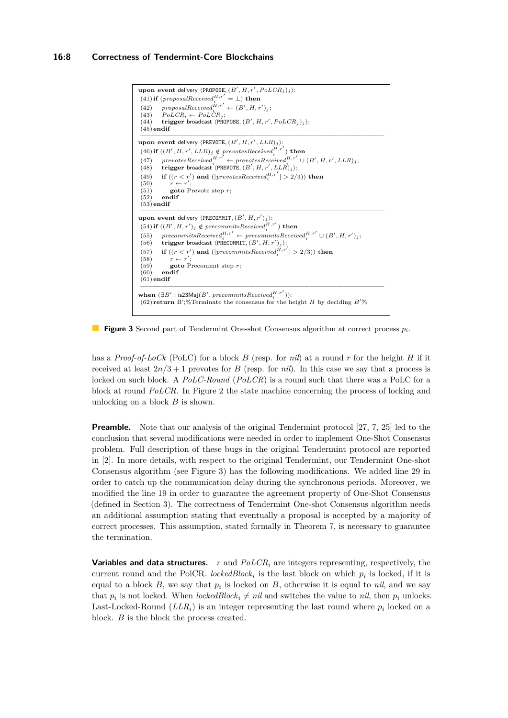<span id="page-7-5"></span><span id="page-7-2"></span><span id="page-7-1"></span><span id="page-7-0"></span>

<span id="page-7-4"></span><span id="page-7-3"></span>**Figure 3** Second part of Tendermint One-shot Consensus algorithm at correct process *pi*.

has a *Proof-of-LoCk* (PoLC) for a block *B* (resp. for *nil*) at a round *r* for the height *H* if it received at least  $2n/3 + 1$  prevotes for *B* (resp. for *nil*). In this case we say that a process is locked on such block. A *PoLC-Round* (*PoLCR*) is a round such that there was a PoLC for a block at round *PoLCR*. In Figure [2](#page-5-0) the state machine concerning the process of locking and unlocking on a block *B* is shown.

**Preamble.** Note that our analysis of the original Tendermint protocol [\[27,](#page-15-3) [7,](#page-14-2) [25\]](#page-15-4) led to the conclusion that several modifications were needed in order to implement One-Shot Consensus problem. Full description of these bugs in the original Tendermint protocol are reported in [\[2\]](#page-14-3). In more details, with respect to the original Tendermint, our Tendermint One-shot Consensus algorithm (see Figure [3\)](#page-7-0) has the following modifications. We added line [29](#page-6-3) in order to catch up the communication delay during the synchronous periods. Moreover, we modified the line [19](#page-6-6) in order to guarantee the agreement property of One-Shot Consensus (defined in Section [3\)](#page-2-1). The correctness of Tendermint One-shot Consensus algorithm needs an additional assumption stating that eventually a proposal is accepted by a majority of correct processes. This assumption, stated formally in Theorem [7,](#page-11-0) is necessary to guarantee the termination.

**Variables and data structures.** *r* and *PoLCR<sup>i</sup>* are integers representing, respectively, the current round and the PolCR. *lockedBlock<sub>i</sub>* is the last block on which  $p_i$  is locked, if it is equal to a block  $B$ , we say that  $p_i$  is locked on  $B$ , otherwise it is equal to *nil*, and we say that  $p_i$  is not locked. When *lockedBlock*<sup>*i*</sup>  $\neq$  *nil* and switches the value to *nil*, then  $p_i$  unlocks. Last-Locked-Round  $(LLR_i)$  is an integer representing the last round where  $p_i$  locked on a block. *B* is the block the process created.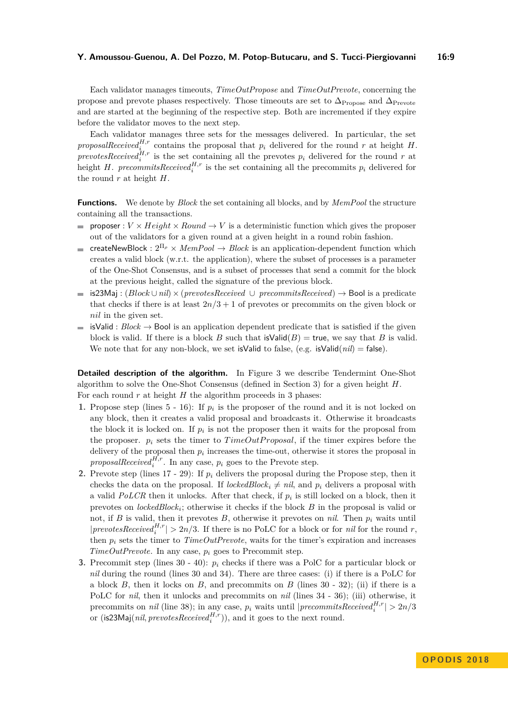Each validator manages timeouts, *TimeOutPropose* and *TimeOutPrevote*, concerning the propose and prevote phases respectively. Those timeouts are set to  $\Delta_{\text{Propose}}$  and  $\Delta_{\text{Prevote}}$ and are started at the beginning of the respective step. Both are incremented if they expire before the validator moves to the next step.

Each validator manages three sets for the messages delivered. In particular, the set *proposalReceived*<sup>*H<sub>,r</sub>*</sup></sub> contains the proposal that  $p_i$  delivered for the round *r* at height *H*. *prevotesReceived*<sup>*H*,r</sup> is the set containing all the prevotes  $p_i$  delivered for the round *r* at height *H*. *precommitsReceived*<sup>*H*,r</sup> is the set containing all the precommits  $p_i$  delivered for the round *r* at height *H*.

**Functions.** We denote by *Block* the set containing all blocks, and by *MemPool* the structure containing all the transactions.

- $\equiv$ **proposer** :  $V \times Height \times Round \rightarrow V$  is a deterministic function which gives the proposer out of the validators for a given round at a given height in a round robin fashion.
- createNewBlock : 2<sup>Π</sup>*<sup>ρ</sup>* × *MemPool* → *Block* is an application-dependent function which  $\blacksquare$ creates a valid block (w.r.t. the application), where the subset of processes is a parameter of the One-Shot Consensus, and is a subset of processes that send a commit for the block at the previous height, called the signature of the previous block.
- is23Maj : (*Block* ∪*nil*) × (*prevotesReceived* ∪ *precommitsReceived*) → Bool is a predicate that checks if there is at least  $2n/3 + 1$  of prevotes or precommits on the given block or *nil* in the given set.
- isValid :  $Block \rightarrow$  Bool is an application dependent predicate that is satisfied if the given block is valid. If there is a block *B* such that  $\mathsf{isValid}(B) = \mathsf{true}$ , we say that *B* is valid. We note that for any non-block, we set is Valid to false, (e.g.  $is$ Valid $(nil)$  = false).

**Detailed description of the algorithm.** In Figure [3](#page-7-0) we describe Tendermint One-Shot algorithm to solve the One-Shot Consensus (defined in Section [3\)](#page-2-1) for a given height *H*. For each round  $r$  at height  $H$  the algorithm proceeds in 3 phases:

- **1.** Propose step (lines  $5 16$ ): If  $p_i$  is the proposer of the round and it is not locked on any block, then it creates a valid proposal and broadcasts it. Otherwise it broadcasts the block it is locked on. If  $p_i$  is not the proposer then it waits for the proposal from the proposer.  $p_i$  sets the timer to  $TimeOutProposal$ , if the timer expires before the delivery of the proposal then  $p_i$  increases the time-out, otherwise it stores the proposal in *proposalReceived*<sup>*H*,*r*</sup>. In any case,  $p_i$  goes to the Prevote step.
- **2.** Prevote step (lines  $17 29$ ): If  $p_i$  delivers the proposal during the Propose step, then it checks the data on the proposal. If *lockedBlock*<sub>*i*</sub>  $\neq$  *nil*, and  $p_i$  delivers a proposal with a valid  $PoLCR$  then it unlocks. After that check, if  $p_i$  is still locked on a block, then it prevotes on *lockedBlock<sub>i</sub>*; otherwise it checks if the block *B* in the proposal is valid or not, if *B* is valid, then it prevotes *B*, otherwise it prevotes on *nil*. Then  $p_i$  waits until  $|preotesReceived<sup>H,r</sup><sub>i</sub>| > 2n/3$ . If there is no PoLC for a block or for *nil* for the round *r*, then  $p_i$  sets the timer to  $TimeOutPrevote$ , waits for the timer's expiration and increases *TimeOutPrevote*. In any case, *p<sup>i</sup>* goes to Precommit step.
- **3.** Precommit step (lines [30](#page-6-4) - [40\)](#page-6-5): *p<sup>i</sup>* checks if there was a PolC for a particular block or *nil* during the round (lines [30](#page-6-4) and [34\)](#page-6-7). There are three cases: (i) if there is a PoLC for a block  $B$ , then it locks on  $B$ , and precommits on  $B$  (lines  $30 - 32$ ); (ii) if there is a PoLC for *nil*, then it unlocks and precommits on *nil* (lines [34](#page-6-7) - [36\)](#page-6-9); (iii) otherwise, it precommits on *nil* (line [38\)](#page-6-10); in any case,  $p_i$  waits until  $|precommitsReceived_i^{H,r}| > 2n/3$ or (is 23Maj(*nil, prevotes Received*<sup> $H,r$ </sup>)), and it goes to the next round.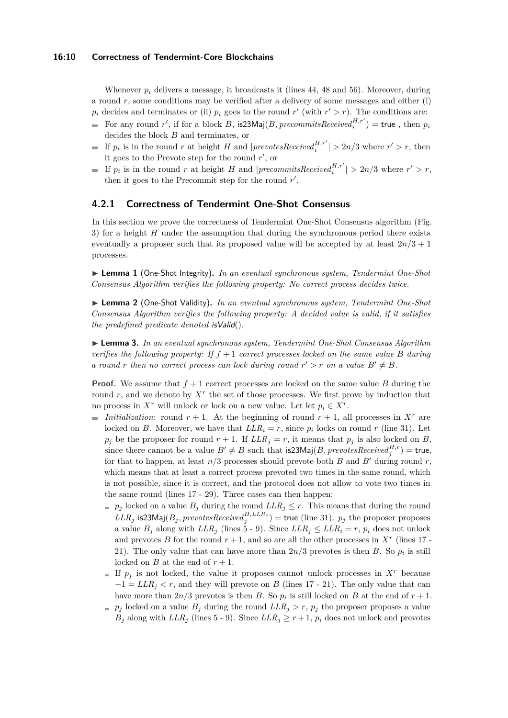#### **16:10 Correctness of Tendermint-Core Blockchains**

Whenever  $p_i$  delivers a message, it broadcasts it (lines [44,](#page-7-1) [48](#page-7-2) and [56\)](#page-7-3). Moreover, during a round *r*, some conditions may be verified after a delivery of some messages and either (i)  $p_i$  decides and terminates or (ii)  $p_i$  goes to the round  $r'$  (with  $r' > r$ ). The conditions are:

- For any round  $r'$ , if for a block  $B$ , is23Maj( $B$ ,  $precommitsReceived_i^{H,r'})$  = true, then  $p_i$ decides the block *B* and terminates, or
- If  $p_i$  is in the round  $r$  at height  $H$  and  $|prevotesReceived_i^{H,r'}| > 2n/3$  where  $r' > r$ , then it goes to the Prevote step for the round  $r'$ , or
- If  $p_i$  is in the round *r* at height *H* and  $|precommitsReceived_i^{H,r'}| > 2n/3$  where  $r' > r$ , then it goes to the Precommit step for the round  $r'$ .

## **4.2.1 Correctness of Tendermint One-Shot Consensus**

In this section we prove the correctness of Tendermint One-Shot Consensus algorithm (Fig. [3\)](#page-7-0) for a height *H* under the assumption that during the synchronous period there exists eventually a proposer such that its proposed value will be accepted by at least 2*n/*3 + 1 processes.

<span id="page-9-1"></span>▶ Lemma 1 (One-Shot Integrity). *In an eventual synchronous system, Tendermint One-Shot Consensus Algorithm verifies the following property: No correct process decides twice.*

<span id="page-9-2"></span>▶ Lemma 2 (One-Shot Validity). *In an eventual synchronous system, Tendermint One-Shot Consensus Algorithm verifies the following property: A decided value is valid, if it satisfies the predefined predicate denoted* isValid()*.*

<span id="page-9-0"></span>I **Lemma 3.** *In an eventual synchronous system, Tendermint One-Shot Consensus Algorithm verifies the following property: If*  $f + 1$  *correct processes locked on the same value B during a round r then no correct process can lock during round*  $r' > r$  *on a value*  $B' \neq B$ *.* 

**Proof.** We assume that  $f + 1$  correct processes are locked on the same value *B* during the round *r*, and we denote by  $X<sup>r</sup>$  the set of those processes. We first prove by induction that no process in  $X^r$  will unlock or lock on a new value. Let let  $p_i \in X^r$ .

- $\overline{\phantom{a}}$ *Initialization*: round  $r + 1$ . At the beginning of round  $r + 1$ , all processes in  $X<sup>r</sup>$  are locked on *B*. Moreover, we have that  $LLR_i = r$ , since  $p_i$  locks on round *r* (line [31\)](#page-6-11). Let  $p_j$  be the proposer for round  $r + 1$ . If  $LLR_j = r$ , it means that  $p_j$  is also locked on *B*, since there cannot be a value  $B' \neq B$  such that is 23Maj(*B*, *prevotesReceived*<sup>*H*,*r*</sup>) = true, for that to happen, at least  $n/3$  processes should prevote both *B* and *B'* during round *r*, which means that at least a correct process prevoted two times in the same round, which is not possible, since it is correct, and the protocol does not allow to vote two times in the same round (lines [17](#page-6-2) - [29\)](#page-6-3). Three cases can then happen:
	- *p*<sub>j</sub> locked on a value  $B_j$  during the round  $LLR_j \leq r$ . This means that during the round  $LLR_j$  is23Maj $(B_j, \text{prevotes}Received_j^{H, LLR_j}) =$  true (line [31\)](#page-6-11).  $p_j$  the proposer proposes a value  $B_j$  along with  $LLR_j$  (lines [5](#page-6-0) - [9\)](#page-6-12). Since  $LLR_j \leq LLR_i = r$ ,  $p_i$  does not unlock and prevotes *B* for the round  $r + 1$ , and so are all the other processes in  $X<sup>r</sup>$  (lines [17](#page-6-2) -[21\)](#page-6-13). The only value that can have more than  $2n/3$  prevotes is then *B*. So  $p_i$  is still locked on *B* at the end of  $r + 1$ .
	- If  $p_j$  is not locked, the value it proposes cannot unlock processes in  $X^r$  because  $-1 = LLR_i < r$ , and they will prevote on *B* (lines [17](#page-6-2) - [21\)](#page-6-13). The only value that can have more than  $2n/3$  prevotes is then *B*. So  $p_i$  is still locked on *B* at the end of  $r + 1$ .
	- *p*<sup>*j*</sup> locked on a value  $B_j$  during the round  $LLR_j > r$ ,  $p_j$  the proposer proposes a value  $B_j$  along with  $LLR_j$  (lines [5](#page-6-0) - [9\)](#page-6-12). Since  $LLR_j \geq r+1$ ,  $p_i$  does not unlock and prevotes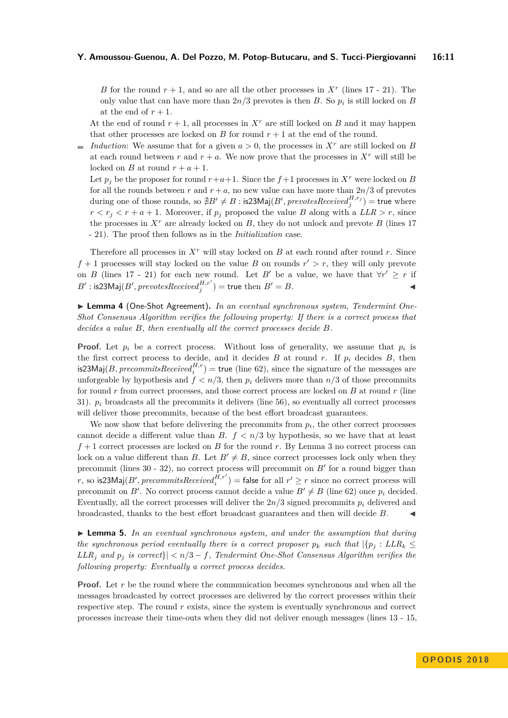*B* for the round  $r + 1$ , and so are all the other processes in  $X<sup>r</sup>$  (lines [17](#page-6-2) - [21\)](#page-6-13). The only value that can have more than 2*n/*3 prevotes is then *B*. So *p<sup>i</sup>* is still locked on *B* at the end of  $r + 1$ .

At the end of round  $r + 1$ , all processes in  $X<sup>r</sup>$  are still locked on *B* and it may happen that other processes are locked on  $B$  for round  $r + 1$  at the end of the round.

*Induction*: We assume that for a given  $a > 0$ , the processes in  $X<sup>r</sup>$  are still locked on *B* at each round between *r* and  $r + a$ . We now prove that the processes in  $X<sup>r</sup>$  will still be locked on *B* at round  $r + a + 1$ .

Let  $p_i$  be the proposer for round  $r+a+1$ . Since the  $f+1$  processes in  $X^r$  were locked on *B* for all the rounds between *r* and  $r + a$ , no new value can have more than  $2n/3$  of prevotes during one of those rounds, so  $\nexists B'\neq B:$  is23Maj( $B',$   $prevotesReceived_{j}^{H,r_{j}}) =$  true where  $r < r_j < r + a + 1$ . Moreover, if  $p_j$  proposed the value *B* along with a *LLR* > *r*, since the processes in  $X<sup>r</sup>$  are already locked on  $B$ , they do not unlock and prevote  $B$  (lines [17](#page-6-2)) - [21\)](#page-6-13). The proof then follows as in the *Initialization* case.

Therefore all processes in *X<sup>r</sup>* will stay locked on *B* at each round after round *r*. Since  $f + 1$  processes will stay locked on the value *B* on rounds  $r' > r$ , they will only prevote on *B* (lines [17](#page-6-2) - [21\)](#page-6-13) for each new round. Let *B'* be a value, we have that  $\forall r' \geq r$  if  $B'$ : is23Maj(*B'*, *prevotesReceived*<sup>*H*,r'</sup>) = true then  $B' = B$ .

<span id="page-10-1"></span>▶ Lemma 4 (One-Shot Agreement). *In an eventual synchronous system, Tendermint One-Shot Consensus Algorithm verifies the following property: If there is a correct process that decides a value B, then eventually all the correct processes decide B.*

**Proof.** Let  $p_i$  be a correct process. Without loss of generality, we assume that  $p_i$  is the first correct process to decide, and it decides *B* at round *r*. If  $p_i$  decides *B*, then  $\text{is23Maj}(B, precommitsReceived_i^{H,r}) = \text{true}$  (line [62\)](#page-7-4), since the signature of the messages are unforgeable by hypothesis and  $f < n/3$ , then  $p_i$  delivers more than  $n/3$  of those precommits for round *r* from correct processes, and those correct process are locked on *B* at round *r* (line [31\)](#page-6-11).  $p_i$  broadcasts all the precommits it delivers (line [56\)](#page-7-3), so eventually all correct processes will deliver those precommits, because of the best effort broadcast guarantees.

We now show that before delivering the precommits from  $p_i$ , the other correct processes cannot decide a different value than *B*.  $f < n/3$  by hypothesis, so we have that at least *f* + 1 correct processes are locked on *B* for the round *r*. By Lemma [3](#page-9-0) no correct process can lock on a value different than *B*. Let  $B' \neq B$ , since correct processes lock only when they precommit (lines  $30 - 32$ ), no correct process will precommit on  $B'$  for a round bigger than  $r,$  so is23Maj( $B',$   $precommitsReceived{H, r' \choose i}$  = false for all  $r' \geq r$  since no correct process will precommit on *B'*. No correct process cannot decide a value  $B' \neq B$  (line [62\)](#page-7-4) once  $p_i$  decided. Eventually, all the correct processes will deliver the  $2n/3$  signed precommits  $p_i$  delivered and broadcasted, thanks to the best effort broadcast guarantees and then will decide *B*. J

<span id="page-10-0"></span> $\triangleright$  **Lemma 5.** In an eventual synchronous system, and under the assumption that during *the synchronous period eventually there is a correct proposer*  $p_k$  *such that*  $|\{p_j : LLR_k \leq \}$ *LLR*<sup>*j*</sup> *and*  $p_j$  *is correct*} $| < n/3 - f$ *, Tendermint One-Shot Consensus Algorithm verifies the following property: Eventually a correct process decides.*

**Proof.** Let r be the round where the communication becomes synchronous and when all the messages broadcasted by correct processes are delivered by the correct processes within their respective step. The round *r* exists, since the system is eventually synchronous and correct processes increase their time-outs when they did not deliver enough messages (lines [13](#page-6-14) - [15,](#page-6-15)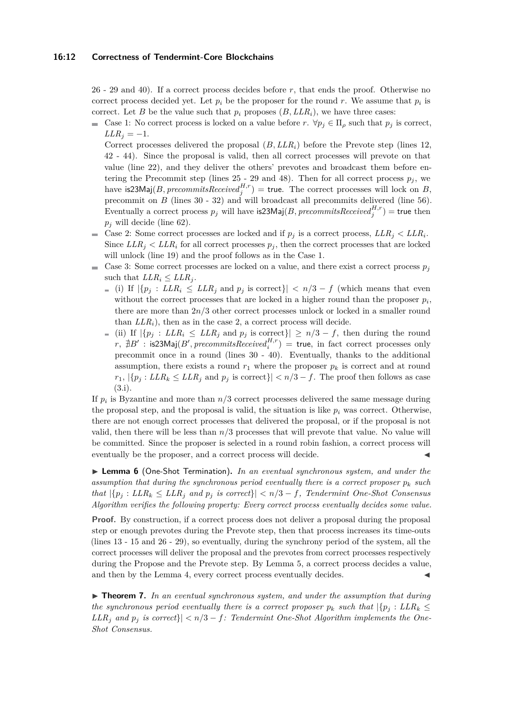#### **16:12 Correctness of Tendermint-Core Blockchains**

[26](#page-6-16) - [29](#page-6-3) and [40\)](#page-6-5). If a correct process decides before *r*, that ends the proof. Otherwise no correct process decided yet. Let  $p_i$  be the proposer for the round r. We assume that  $p_i$  is correct. Let *B* be the value such that  $p_i$  proposes  $(B, LLR_i)$ , we have three cases:

Case 1: No correct process is locked on a value before  $r$ .  $\forall p_j \in \Pi_\rho$  such that  $p_j$  is correct,  $LLR_j = -1$ .

Correct processes delivered the proposal  $(B, LLR_i)$  before the Prevote step (lines [12,](#page-6-17) [42](#page-7-5) - [44\)](#page-7-1). Since the proposal is valid, then all correct processes will prevote on that value (line [22\)](#page-6-18), and they deliver the others' prevotes and broadcast them before entering the Precommit step (lines  $25 - 29$  $25 - 29$  and  $48$ ). Then for all correct process  $p_j$ , we have is 23Maj(*B*, *precommitsReceived*<sup>*H*,*r*</sup></sup>) = true. The correct processes will lock on *B*, precommit on *B* (lines [30](#page-6-4) - [32\)](#page-6-8) and will broadcast all precommits delivered (line [56\)](#page-7-3). Eventually a correct process  $p_j$  will have is 23 Maj(*B*, *precommits Received*<sup>*H*,*r*</sup>) = true then  $p_i$  will decide (line [62\)](#page-7-4).

- Case 2: Some correct processes are locked and if  $p_j$  is a correct process,  $LLR_j < LLR_i$ . Since  $LLR_j$   $\lt LLR_i$  for all correct processes  $p_j$ , then the correct processes that are locked will unlock (line [19\)](#page-6-6) and the proof follows as in the Case 1.
- Case 3: Some correct processes are locked on a value, and there exist a correct process  $p_j$ such that  $LLR_i \leq LLR_j$ .
	- $\{i\}$  if  $|\{p_i: LLR_i \leq LLR_j \text{ and } p_j \text{ is correct}\}| < n/3 f$  (which means that even without the correct processes that are locked in a higher round than the proposer  $p_i$ , there are more than 2*n/*3 other correct processes unlock or locked in a smaller round than  $LLR_i$ , then as in the case 2, a correct process will decide.
	- $\vert$  (ii) If  $\vert \{p_j : LLR_i \leq LLR_j \text{ and } p_j \text{ is correct}\}\vert \geq n/3 f$ , then during the round  $r$ ,  $\#B'$  : is23Maj(*B'*, precommitsReceived<sup>*H*,r</sup>) = true, in fact correct processes only precommit once in a round (lines [30](#page-6-4) - [40\)](#page-6-5). Eventually, thanks to the additional assumption, there exists a round  $r_1$  where the proposer  $p_k$  is correct and at round  $r_1$ ,  $|\{p_j: LLR_k \leq LLR_j \text{ and } p_j \text{ is correct}\}| < n/3 - f$ . The proof then follows as case (3.i).

If *p<sup>i</sup>* is Byzantine and more than *n/*3 correct processes delivered the same message during the proposal step, and the proposal is valid, the situation is like  $p_i$  was correct. Otherwise, there are not enough correct processes that delivered the proposal, or if the proposal is not valid, then there will be less than *n/*3 processes that will prevote that value. No value will be committed. Since the proposer is selected in a round robin fashion, a correct process will eventually be the proposer, and a correct process will decide.

<span id="page-11-1"></span>I **Lemma 6** (One-Shot Termination)**.** *In an eventual synchronous system, and under the assumption that during the synchronous period eventually there is a correct proposer*  $p_k$  *such that*  $|\{p_i: LLR_k \leq LLR_i \text{ and } p_j \text{ is correct}\}| < n/3 - f$ , Tendermint One-Shot Consensus *Algorithm verifies the following property: Every correct process eventually decides some value.*

**Proof.** By construction, if a correct process does not deliver a proposal during the proposal step or enough prevotes during the Prevote step, then that process increases its time-outs (lines [13](#page-6-14) - [15](#page-6-15) and [26](#page-6-16) - [29\)](#page-6-3), so eventually, during the synchrony period of the system, all the correct processes will deliver the proposal and the prevotes from correct processes respectively during the Propose and the Prevote step. By Lemma [5,](#page-10-0) a correct process decides a value, and then by the Lemma [4,](#page-10-1) every correct process eventually decides.

<span id="page-11-0"></span>► **Theorem 7.** In an eventual synchronous system, and under the assumption that during *the synchronous period eventually there is a correct proposer*  $p_k$  *such that*  $|\{p_i : LLR_k \leq \}$  $LLR_i$  and  $p_i$  is correct} $| < n/3 - f$ : Tendermint One-Shot Algorithm implements the One-*Shot Consensus.*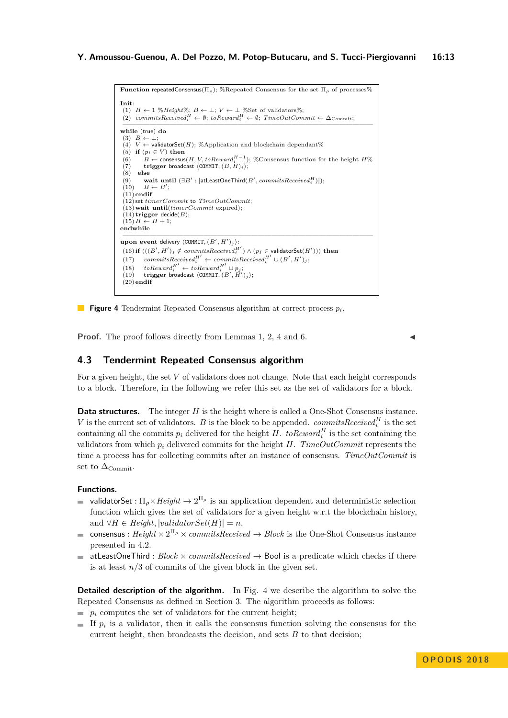```
Function repeatedConsensus(\Pi_{\rho}); %Repeated Consensus for the set \Pi_{\rho} of processes%
Init:
(1) H \leftarrow 1 \% Height%; B \leftarrow \perp; V \leftarrow \perp %Set of validators%;
 (2) commitsReceived_i^H \leftarrow \emptyset; toReward_i^H \leftarrow \emptyset; TimeOutCommit \leftarrow \Delta_{Commit};
 —————————————————————————————————————
while (true) do
 (3) B \leftarrow \bot;<br>(4) V \leftarrow validatorSet(H); %Application and blockchain dependant%
(5) if (p_i \in V) then
 (6) B ← consensus(H, V, toReward<sup>H-1</sup>); %Consensus function for the height H%
(7) trigger broadcast \langle \text{COMMIT}, (B, H)_i \rangle;<br>(8) else
     (8) else
 (9) wait until (\exists B' : |\text{atLeastOneThird}(B', commitsReceived_i^H));<br>
(10) B \leftarrow B';
(11)endif
 (12) set timerCommit to TimeOutCommit;
 (13)wait until(timerCommit expired);
 (14) trigger decide(B);
(15)H \leftarrow H + 1;
endwhile
 —————————————————————————————————————
upon event delivery \langle \texttt{COMMIT}, (B', H')_j \rangle:
 (16) if (((B', H')_j \notin commitsReceived_i^{H'}) \land (p_j \in \text{validatorSet}(H'))) then
 (17) commitsReceived<sup>H'</sup> ← commitsReceived<sup>H'</sup> ∪ (B', H')_j;
 (18) to foReward<sup>H'</sup> ← toReward<sup>H'</sup> ∪ p<sub>j</sub>;<br>(19) trigger broadcast \langle COMMIT, (B', H')_j;
(20)endif
```


**Proof.** The proof follows directly from Lemmas [1,](#page-9-1) [2,](#page-9-2) [4](#page-10-1) and [6.](#page-11-1)

# **4.3 Tendermint Repeated Consensus algorithm**

For a given height, the set V of validators does not change. Note that each height corresponds to a block. Therefore, in the following we refer this set as the set of validators for a block.

**Data structures.** The integer *H* is the height where is called a One-Shot Consensus instance. *V* is the current set of validators. *B* is the block to be appended. *commitsReceived*<sup>*H*</sup> is the set containing all the commits  $p_i$  delivered for the height *H*.  $to$  *Reward*<sup>*H*</sup> is the set containing the validators from which  $p_i$  delivered commits for the height *H*. *TimeOutCommit* represents the time a process has for collecting commits after an instance of consensus. *TimeOutCommit* is set to  $\Delta_{\text{Commit}}$ .

## **Functions.**

- validatorSet :  $\Pi_{\rho} \times Height \rightarrow 2^{\Pi_{\rho}}$  is an application dependent and deterministic selection function which gives the set of validators for a given height w.r.t the blockchain history, and  $\forall H \in Height, \vert validateSet(H) \vert = n$ .
- consensus :  $Height \times 2^{\Pi_{\rho}} \times commitsReceived \rightarrow Block$  is the One-Shot Consensus instance  $\blacksquare$ presented in [4.2.](#page-5-1)
- atLeastOneThird : *Block* × *commitsReceived* → Bool is a predicate which checks if there  $\blacksquare$ is at least  $n/3$  of commits of the given block in the given set.

**Detailed description of the algorithm.** In Fig. [4](#page-12-0) we describe the algorithm to solve the Repeated Consensus as defined in Section [3.](#page-2-1) The algorithm proceeds as follows:

- $\blacksquare$  *p<sub>i</sub>* computes the set of validators for the current height;
- If *p<sup>i</sup>* is a validator, then it calls the consensus function solving the consensus for the current height, then broadcasts the decision, and sets *B* to that decision;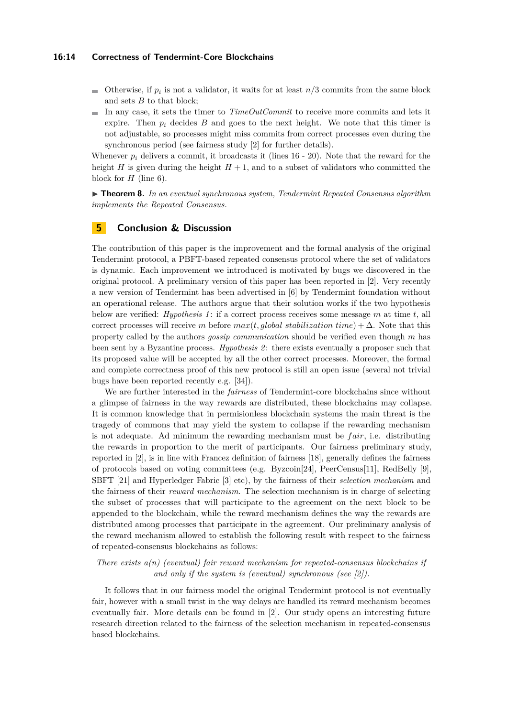#### **16:14 Correctness of Tendermint-Core Blockchains**

- Otherwise, if  $p_i$  is not a validator, it waits for at least  $n/3$  commits from the same block and sets *B* to that block;
- In any case, it sets the timer to  $TimeOutCommit$  to receive more commits and lets it expire. Then  $p_i$  decides  $B$  and goes to the next height. We note that this timer is not adjustable, so processes might miss commits from correct processes even during the synchronous period (see fairness study [\[2\]](#page-14-3) for further details).

Whenever  $p_i$  delivers a commit, it broadcasts it (lines  $16 - 20$ ). Note that the reward for the height *H* is given during the height  $H + 1$ , and to a subset of validators who committed the block for *H* (line [6\)](#page-6-21).

<span id="page-13-0"></span>▶ **Theorem 8.** In an eventual synchronous system, Tendermint Repeated Consensus algorithm *implements the Repeated Consensus.*

# **5 Conclusion & Discussion**

The contribution of this paper is the improvement and the formal analysis of the original Tendermint protocol, a PBFT-based repeated consensus protocol where the set of validators is dynamic. Each improvement we introduced is motivated by bugs we discovered in the original protocol. A preliminary version of this paper has been reported in [\[2\]](#page-14-3). Very recently a new version of Tendermint has been advertised in [\[6\]](#page-14-16) by Tendermint foundation without an operational release. The authors argue that their solution works if the two hypothesis below are verified: *Hypothesis 1* : if a correct process receives some message *m* at time *t*, all correct processes will receive *m* before  $max(t, global stabilization time) + \Delta$ . Note that this property called by the authors *gossip communication* should be verified even though *m* has been sent by a Byzantine process. *Hypothesis 2*: there exists eventually a proposer such that its proposed value will be accepted by all the other correct processes. Moreover, the formal and complete correctness proof of this new protocol is still an open issue (several not trivial bugs have been reported recently e.g. [\[34\]](#page-15-18)).

We are further interested in the *fairness* of Tendermint-core blockchains since without a glimpse of fairness in the way rewards are distributed, these blockchains may collapse. It is common knowledge that in permisionless blockchain systems the main threat is the tragedy of commons that may yield the system to collapse if the rewarding mechanism is not adequate. Ad minimum the rewarding mechanism must be *f air*, i.e. distributing the rewards in proportion to the merit of participants. Our fairness preliminary study, reported in [\[2\]](#page-14-3), is in line with Francez definition of fairness [\[18\]](#page-14-17), generally defines the fairness of protocols based on voting committees (e.g.  $\text{Byzcoin}[24]$  $\text{Byzcoin}[24]$ , PeerCensus[\[11\]](#page-14-6), RedBelly [\[9\]](#page-14-9), SBFT [\[21\]](#page-15-12) and Hyperledger Fabric [\[3\]](#page-14-7) etc), by the fairness of their *selection mechanism* and the fairness of their *reward mechanism*. The selection mechanism is in charge of selecting the subset of processes that will participate to the agreement on the next block to be appended to the blockchain, while the reward mechanism defines the way the rewards are distributed among processes that participate in the agreement. Our preliminary analysis of the reward mechanism allowed to establish the following result with respect to the fairness of repeated-consensus blockchains as follows:

## *There exists a(n) (eventual) fair reward mechanism for repeated-consensus blockchains if and only if the system is (eventual) synchronous (see [\[2\]](#page-14-3)).*

It follows that in our fairness model the original Tendermint protocol is not eventually fair, however with a small twist in the way delays are handled its reward mechanism becomes eventually fair. More details can be found in [\[2\]](#page-14-3). Our study opens an interesting future research direction related to the fairness of the selection mechanism in repeated-consensus based blockchains.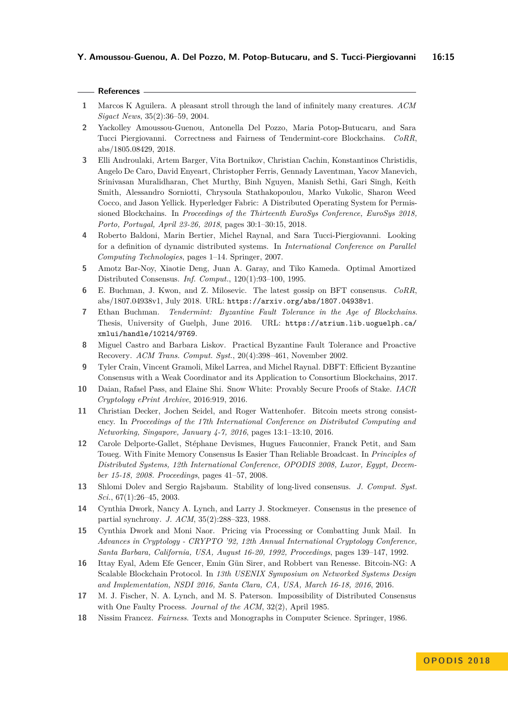- <span id="page-14-13"></span>**1** Marcos K Aguilera. A pleasant stroll through the land of infinitely many creatures. *ACM Sigact News*, 35(2):36–59, 2004.
- <span id="page-14-3"></span>**2** Yackolley Amoussou-Guenou, Antonella Del Pozzo, Maria Potop-Butucaru, and Sara Tucci Piergiovanni. Correctness and Fairness of Tendermint-core Blockchains. *CoRR*, abs/1805.08429, 2018.
- <span id="page-14-7"></span>**3** Elli Androulaki, Artem Barger, Vita Bortnikov, Christian Cachin, Konstantinos Christidis, Angelo De Caro, David Enyeart, Christopher Ferris, Gennady Laventman, Yacov Manevich, Srinivasan Muralidharan, Chet Murthy, Binh Nguyen, Manish Sethi, Gari Singh, Keith Smith, Alessandro Sorniotti, Chrysoula Stathakopoulou, Marko Vukolic, Sharon Weed Cocco, and Jason Yellick. Hyperledger Fabric: A Distributed Operating System for Permissioned Blockchains. In *Proceedings of the Thirteenth EuroSys Conference, EuroSys 2018, Porto, Portugal, April 23-26, 2018*, pages 30:1–30:15, 2018.
- <span id="page-14-15"></span>**4** Roberto Baldoni, Marin Bertier, Michel Raynal, and Sara Tucci-Piergiovanni. Looking for a definition of dynamic distributed systems. In *International Conference on Parallel Computing Technologies*, pages 1–14. Springer, 2007.
- <span id="page-14-10"></span>**5** Amotz Bar-Noy, Xiaotie Deng, Juan A. Garay, and Tiko Kameda. Optimal Amortized Distributed Consensus. *Inf. Comput.*, 120(1):93–100, 1995.
- <span id="page-14-16"></span>**6** E. Buchman, J. Kwon, and Z. Milosevic. The latest gossip on BFT consensus. *CoRR*, abs/1807.04938v1, July 2018. URL: <https://arxiv.org/abs/1807.04938v1>.
- <span id="page-14-2"></span>**7** Ethan Buchman. *Tendermint: Byzantine Fault Tolerance in the Age of Blockchains*. Thesis, University of Guelph, June 2016. URL: [https://atrium.lib.uoguelph.ca/](https://atrium.lib.uoguelph.ca/xmlui/handle/10214/9769) [xmlui/handle/10214/9769](https://atrium.lib.uoguelph.ca/xmlui/handle/10214/9769).
- <span id="page-14-1"></span>**8** Miguel Castro and Barbara Liskov. Practical Byzantine Fault Tolerance and Proactive Recovery. *ACM Trans. Comput. Syst.*, 20(4):398–461, November 2002.
- <span id="page-14-9"></span>**9** Tyler Crain, Vincent Gramoli, Mikel Larrea, and Michel Raynal. DBFT: Efficient Byzantine Consensus with a Weak Coordinator and its Application to Consortium Blockchains, 2017.
- <span id="page-14-8"></span>**10** Daian, Rafael Pass, and Elaine Shi. Snow White: Provably Secure Proofs of Stake. *IACR Cryptology ePrint Archive*, 2016:919, 2016.
- <span id="page-14-6"></span>**11** Christian Decker, Jochen Seidel, and Roger Wattenhofer. Bitcoin meets strong consistency. In *Proceedings of the 17th International Conference on Distributed Computing and Networking, Singapore, January 4-7, 2016*, pages 13:1–13:10, 2016.
- <span id="page-14-12"></span>**12** Carole Delporte-Gallet, Stéphane Devismes, Hugues Fauconnier, Franck Petit, and Sam Toueg. With Finite Memory Consensus Is Easier Than Reliable Broadcast. In *Principles of Distributed Systems, 12th International Conference, OPODIS 2008, Luxor, Egypt, December 15-18, 2008. Proceedings*, pages 41–57, 2008.
- <span id="page-14-11"></span>**13** Shlomi Dolev and Sergio Rajsbaum. Stability of long-lived consensus. *J. Comput. Syst. Sci.*, 67(1):26–45, 2003.
- <span id="page-14-14"></span>**14** Cynthia Dwork, Nancy A. Lynch, and Larry J. Stockmeyer. Consensus in the presence of partial synchrony. *J. ACM*, 35(2):288–323, 1988.
- <span id="page-14-0"></span>**15** Cynthia Dwork and Moni Naor. Pricing via Processing or Combatting Junk Mail. In *Advances in Cryptology - CRYPTO '92, 12th Annual International Cryptology Conference, Santa Barbara, California, USA, August 16-20, 1992, Proceedings*, pages 139–147, 1992.
- <span id="page-14-5"></span>**16** Ittay Eyal, Adem Efe Gencer, Emin Gün Sirer, and Robbert van Renesse. Bitcoin-NG: A Scalable Blockchain Protocol. In *13th USENIX Symposium on Networked Systems Design and Implementation, NSDI 2016, Santa Clara, CA, USA, March 16-18, 2016*, 2016.
- <span id="page-14-4"></span>**17** M. J. Fischer, N. A. Lynch, and M. S. Paterson. Impossibility of Distributed Consensus with One Faulty Process. *Journal of the ACM*, 32(2), April 1985.
- <span id="page-14-17"></span>**18** Nissim Francez. *Fairness*. Texts and Monographs in Computer Science. Springer, 1986.